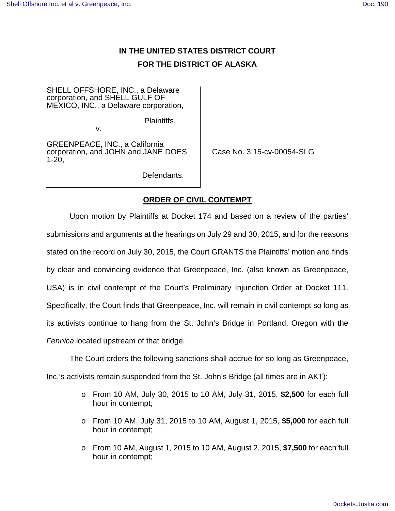## **IN THE UNITED STATES DISTRICT COURT FOR THE DISTRICT OF ALASKA**

SHELL OFFSHORE, INC., a Delaware corporation, and SHELL GULF OF MEXICO, INC., a Delaware corporation,

Plaintiffs,

v.

GREENPEACE, INC., a California corporation, and JOHN and JANE DOES 1-20,

Case No. 3:15-cv-00054-SLG

Defendants.

## **ORDER OF CIVIL CONTEMPT**

Upon motion by Plaintiffs at Docket 174 and based on a review of the parties' submissions and arguments at the hearings on July 29 and 30, 2015, and for the reasons stated on the record on July 30, 2015, the Court GRANTS the Plaintiffs' motion and finds by clear and convincing evidence that Greenpeace, Inc. (also known as Greenpeace, USA) is in civil contempt of the Court's Preliminary Injunction Order at Docket 111. Specifically, the Court finds that Greenpeace, Inc. will remain in civil contempt so long as its activists continue to hang from the St. John's Bridge in Portland, Oregon with the Fennica located upstream of that bridge.

The Court orders the following sanctions shall accrue for so long as Greenpeace,

Inc.'s activists remain suspended from the St. John's Bridge (all times are in AKT):

- o From 10 AM, July 30, 2015 to 10 AM, July 31, 2015, **\$2,500** for each full hour in contempt;
- o From 10 AM, July 31, 2015 to 10 AM, August 1, 2015, **\$5,000** for each full hour in contempt;
- o From 10 AM, August 1, 2015 to 10 AM, August 2, 2015, **\$7,500** for each full hour in contempt;